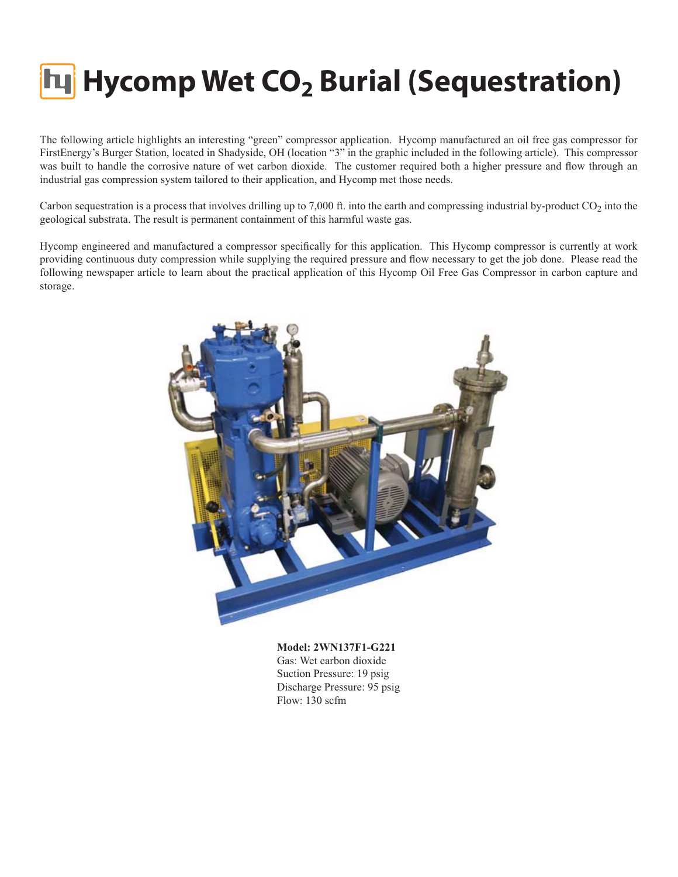### **Hycomp Wet CO<sub>2</sub> Burial (Sequestration)**

The following article highlights an interesting "green" compressor application. Hycomp manufactured an oil free gas compressor for FirstEnergy's Burger Station, located in Shadyside, OH (location "3" in the graphic included in the following article). This compressor was built to handle the corrosive nature of wet carbon dioxide. The customer required both a higher pressure and flow through an industrial gas compression system tailored to their application, and Hycomp met those needs.

Carbon sequestration is a process that involves drilling up to  $7,000$  ft. into the earth and compressing industrial by-product  $CO_2$  into the geological substrata. The result is permanent containment of this harmful waste gas.

Hycomp engineered and manufactured a compressor specifically for this application. This Hycomp compressor is currently at work providing continuous duty compression while supplying the required pressure and flow necessary to get the job done. Please read the following newspaper article to learn about the practical application of this Hycomp Oil Free Gas Compressor in carbon capture and storage.



**Model: 2WN137F1-G221** Gas: Wet carbon dioxide Suction Pressure: 19 psig Discharge Pressure: 95 psig Flow: 130 scfm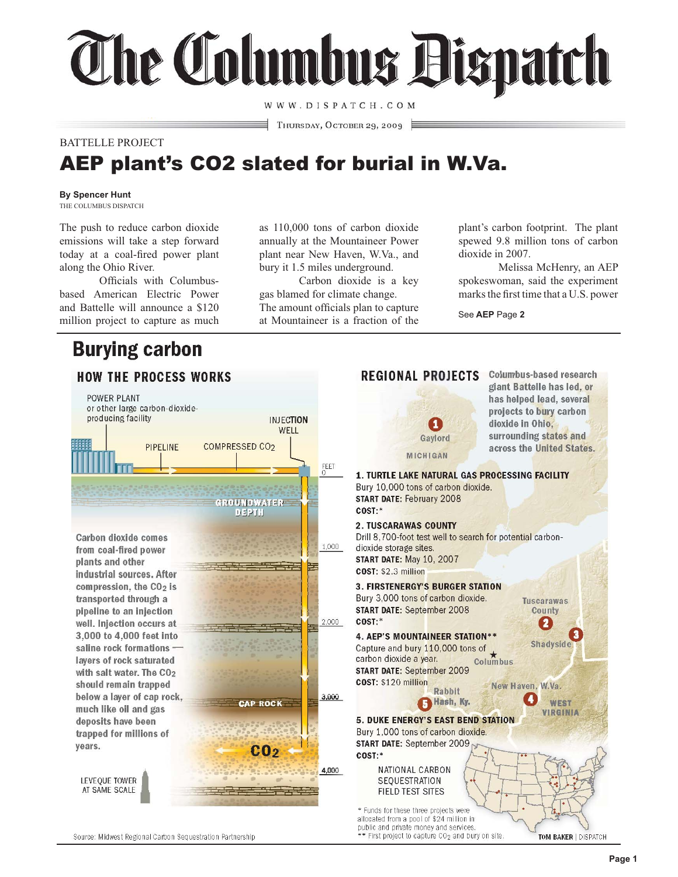# **The Tolumbus Bispatch**

WWW.DISPATCH.COM

THURSDAY, OCTOBER 29, 2009

### BATTELLE PROJECT

### AEP plant's CO2 slated for burial in W.Va.

THE COLUMBUS DISPATCH

The push to reduce carbon dioxide emissions will take a step forward today at a coal-fired power plant along the Ohio River.

 Officials with Columbusbased American Electric Power and Battelle will announce a \$120 million project to capture as much

### **Burying carbon**

as 110,000 tons of carbon dioxide annually at the Mountaineer Power plant near New Haven, W.Va., and bury it 1.5 miles underground.

 Carbon dioxide is a key gas blamed for climate change. The amount officials plan to capture at Mountaineer is a fraction of the plant's carbon footprint. The plant spewed 9.8 million tons of carbon dioxide in 2007.

 Melissa McHenry, an AEP spokeswoman, said the experiment marks the first time that a U.S. power

See **AEP** Page **2**